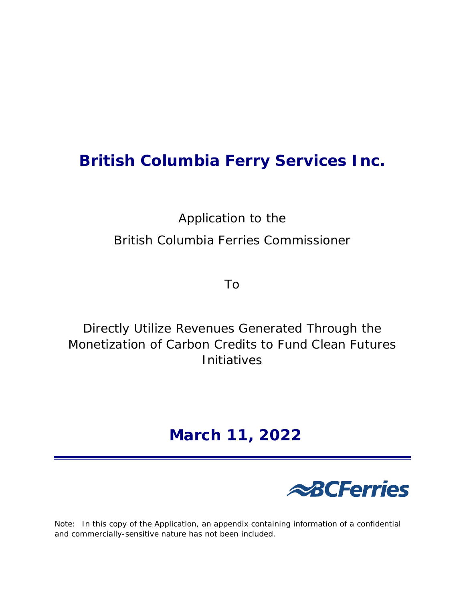# **British Columbia Ferry Services Inc.**

Application to the British Columbia Ferries Commissioner

To

Directly Utilize Revenues Generated Through the Monetization of Carbon Credits to Fund Clean Futures Initiatives

# **March 11, 2022**



Note: In this copy of the Application, an appendix containing information of a confidential and commercially-sensitive nature has not been included.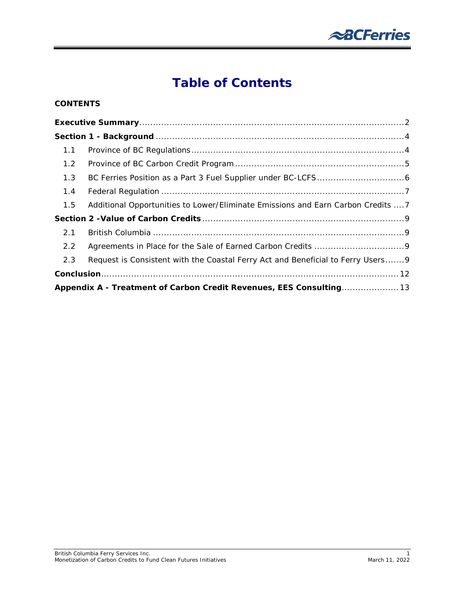

# **Table of Contents**

#### **CONTENTS**

| 1.1                                                                 |                                                                                  |
|---------------------------------------------------------------------|----------------------------------------------------------------------------------|
| 1.2                                                                 |                                                                                  |
| 1.3                                                                 |                                                                                  |
| 1.4                                                                 |                                                                                  |
| 1.5                                                                 | Additional Opportunities to Lower/Eliminate Emissions and Earn Carbon Credits  7 |
|                                                                     |                                                                                  |
| 2.1                                                                 |                                                                                  |
| 2.2                                                                 |                                                                                  |
| 2.3                                                                 | Request is Consistent with the Coastal Ferry Act and Beneficial to Ferry Users9  |
|                                                                     |                                                                                  |
| Appendix A - Treatment of Carbon Credit Revenues, EES Consulting 13 |                                                                                  |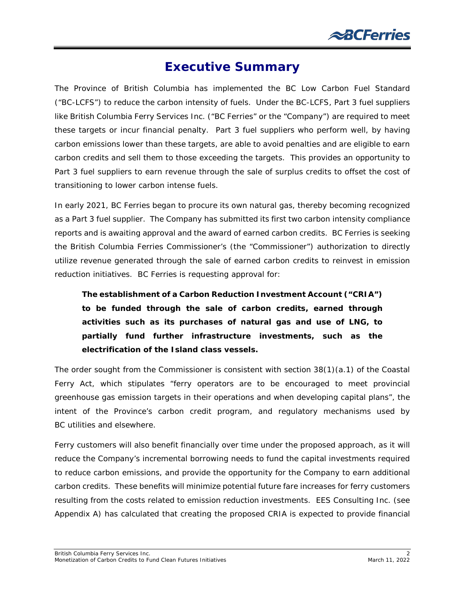

### **Executive Summary**

<span id="page-2-0"></span>The Province of British Columbia has implemented the BC Low Carbon Fuel Standard ("BC-LCFS") to reduce the carbon intensity of fuels. Under the BC-LCFS, Part 3 fuel suppliers like British Columbia Ferry Services Inc. ("BC Ferries" or the "Company") are required to meet these targets or incur financial penalty. Part 3 fuel suppliers who perform well, by having carbon emissions lower than these targets, are able to avoid penalties and are eligible to earn carbon credits and sell them to those exceeding the targets. This provides an opportunity to Part 3 fuel suppliers to earn revenue through the sale of surplus credits to offset the cost of transitioning to lower carbon intense fuels.

In early 2021, BC Ferries began to procure its own natural gas, thereby becoming recognized as a Part 3 fuel supplier. The Company has submitted its first two carbon intensity compliance reports and is awaiting approval and the award of earned carbon credits. BC Ferries is seeking the British Columbia Ferries Commissioner's (the "Commissioner") authorization to directly utilize revenue generated through the sale of earned carbon credits to reinvest in emission reduction initiatives. BC Ferries is requesting approval for:

*The establishment of a Carbon Reduction Investment Account ("CRIA") to be funded through the sale of carbon credits, earned through activities such as its purchases of natural gas and use of LNG, to partially fund further infrastructure investments, such as the electrification of the Island class vessels.*

The order sought from the Commissioner is consistent with section 38(1)(a.1) of *the Coastal Ferry Act*, which stipulates "ferry operators are to be encouraged to meet provincial greenhouse gas emission targets in their operations and when developing capital plans", the intent of the Province's carbon credit program, and regulatory mechanisms used by BC utilities and elsewhere.

Ferry customers will also benefit financially over time under the proposed approach, as it will reduce the Company's incremental borrowing needs to fund the capital investments required to reduce carbon emissions, and provide the opportunity for the Company to earn additional carbon credits. These benefits will minimize potential future fare increases for ferry customers resulting from the costs related to emission reduction investments. EES Consulting Inc. (see Appendix A) has calculated that creating the proposed CRIA is expected to provide financial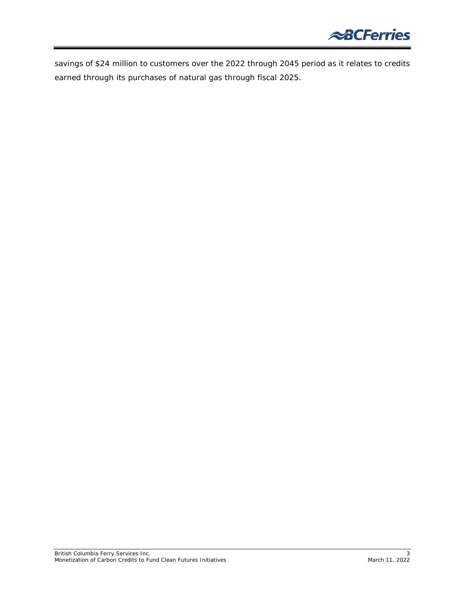

savings of \$24 million to customers over the 2022 through 2045 period as it relates to credits earned through its purchases of natural gas through fiscal 2025.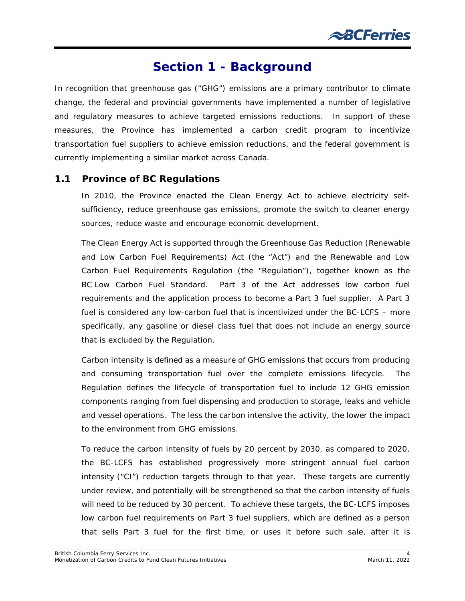### **Section 1 - Background**

<span id="page-4-0"></span>In recognition that greenhouse gas ("GHG") emissions are a primary contributor to climate change, the federal and provincial governments have implemented a number of legislative and regulatory measures to achieve targeted emissions reductions. In support of these measures, the Province has implemented a carbon credit program to incentivize transportation fuel suppliers to achieve emission reductions, and the federal government is currently implementing a similar market across Canada.

#### <span id="page-4-1"></span>**1.1 Province of BC Regulations**

In 2010, the Province enacted the *Clean Energy Act* to achieve electricity selfsufficiency, reduce greenhouse gas emissions, promote the switch to cleaner energy sources, reduce waste and encourage economic development.

The *Clean Energy Act* is supported through the *Greenhouse Gas Reduction (Renewable and Low Carbon Fuel Requirements) Act* (the "Act") and the Renewable and Low Carbon Fuel Requirements Regulation (the "Regulation"), together known as the BC Low Carbon Fuel Standard. Part 3 of the Act addresses low carbon fuel requirements and the application process to become a Part 3 fuel supplier. A Part 3 fuel is considered any low-carbon fuel that is incentivized under the BC-LCFS – more specifically, any gasoline or diesel class fuel that does not include an energy source that is excluded by the Regulation.

Carbon intensity is defined as a measure of GHG emissions that occurs from producing and consuming transportation fuel over the complete emissions lifecycle. The Regulation defines the lifecycle of transportation fuel to include 12 GHG emission components ranging from fuel dispensing and production to storage, leaks and vehicle and vessel operations. The less the carbon intensive the activity, the lower the impact to the environment from GHG emissions.

To reduce the carbon intensity of fuels by 20 percent by 2030, as compared to 2020, the BC-LCFS has established progressively more stringent annual fuel carbon intensity ("CI") reduction targets through to that year. These targets are currently under review, and potentially will be strengthened so that the carbon intensity of fuels will need to be reduced by *30* percent. To achieve these targets, the BC-LCFS imposes low carbon fuel requirements on Part 3 fuel suppliers, which are defined as a person that sells Part 3 fuel for the first time, or uses it before such sale, after it is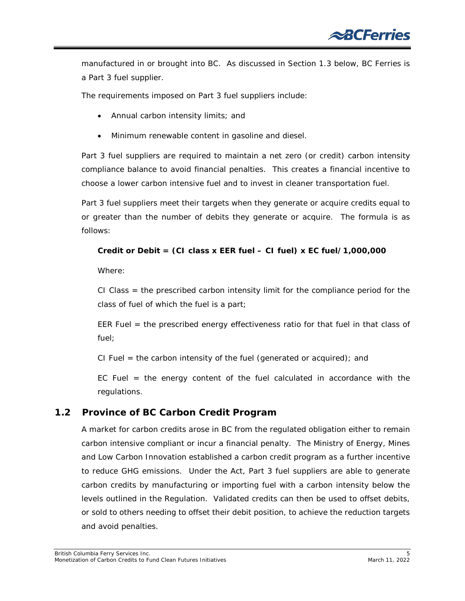manufactured in or brought into BC. As discussed in Section 1.3 below, BC Ferries is a Part 3 fuel supplier.

The requirements imposed on Part 3 fuel suppliers include:

- Annual carbon intensity limits; and
- Minimum renewable content in gasoline and diesel.

Part 3 fuel suppliers are required to maintain a net zero (or credit) carbon intensity compliance balance to avoid financial penalties. This creates a financial incentive to choose a lower carbon intensive fuel and to invest in cleaner transportation fuel.

Part 3 fuel suppliers meet their targets when they generate or acquire credits equal to or greater than the number of debits they generate or acquire. The formula is as follows:

#### **Credit or Debit = (CI class x EER fuel – CI fuel) x EC fuel/1,000,000**

Where:

CI Class = the prescribed carbon intensity limit for the compliance period for the class of fuel of which the fuel is a part;

EER Fuel = the prescribed energy effectiveness ratio for that fuel in that class of fuel;

CI Fuel  $=$  the carbon intensity of the fuel (generated or acquired); and

EC Fuel  $=$  the energy content of the fuel calculated in accordance with the regulations.

#### <span id="page-5-0"></span>**1.2 Province of BC Carbon Credit Program**

A market for carbon credits arose in BC from the regulated obligation either to remain carbon intensive compliant or incur a financial penalty. The Ministry of Energy, Mines and Low Carbon Innovation established a carbon credit program as a further incentive to reduce GHG emissions. Under the Act, Part 3 fuel suppliers are able to generate carbon credits by manufacturing or importing fuel with a carbon intensity below the levels outlined in the Regulation. Validated credits can then be used to offset debits, or sold to others needing to offset their debit position, to achieve the reduction targets and avoid penalties.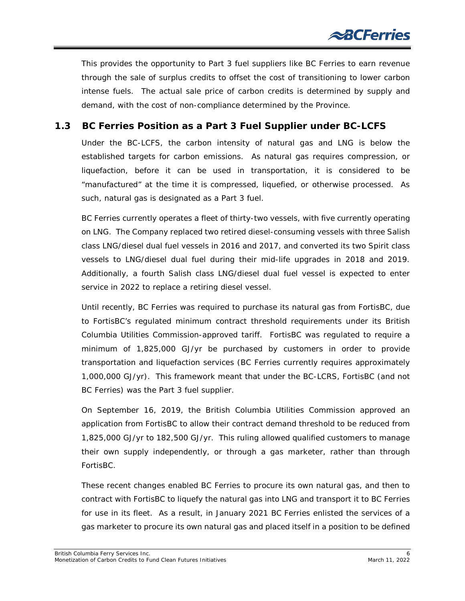This provides the opportunity to Part 3 fuel suppliers like BC Ferries to earn revenue through the sale of surplus credits to offset the cost of transitioning to lower carbon intense fuels. The actual sale price of carbon credits is determined by supply and demand, with the cost of non-compliance determined by the Province.

#### <span id="page-6-0"></span>**1.3 BC Ferries Position as a Part 3 Fuel Supplier under BC-LCFS**

Under the BC-LCFS, the carbon intensity of natural gas and LNG is below the established targets for carbon emissions. As natural gas requires compression, or liquefaction, before it can be used in transportation, it is considered to be "manufactured" at the time it is compressed, liquefied, or otherwise processed. As such, natural gas is designated as a Part 3 fuel.

BC Ferries currently operates a fleet of thirty-two vessels, with five currently operating on LNG. The Company replaced two retired diesel-consuming vessels with three Salish class LNG/diesel dual fuel vessels in 2016 and 2017, and converted its two Spirit class vessels to LNG/diesel dual fuel during their mid-life upgrades in 2018 and 2019. Additionally, a fourth Salish class LNG/diesel dual fuel vessel is expected to enter service in 2022 to replace a retiring diesel vessel.

Until recently, BC Ferries was required to purchase its natural gas from FortisBC, due to FortisBC's regulated minimum contract threshold requirements under its British Columbia Utilities Commission-approved tariff. FortisBC was regulated to require a minimum of 1,825,000 GJ/yr be purchased by customers in order to provide transportation and liquefaction services (BC Ferries currently requires approximately 1,000,000 GJ/yr). This framework meant that under the BC-LCRS, FortisBC (and not BC Ferries) was the Part 3 fuel supplier.

On September 16, 2019, the British Columbia Utilities Commission approved an application from FortisBC to allow their contract demand threshold to be reduced from 1,825,000 GJ/yr to 182,500 GJ/yr. This ruling allowed qualified customers to manage their own supply independently, or through a gas marketer, rather than through FortisBC.

These recent changes enabled BC Ferries to procure its own natural gas, and then to contract with FortisBC to liquefy the natural gas into LNG and transport it to BC Ferries for use in its fleet. As a result, in January 2021 BC Ferries enlisted the services of a gas marketer to procure its own natural gas and placed itself in a position to be defined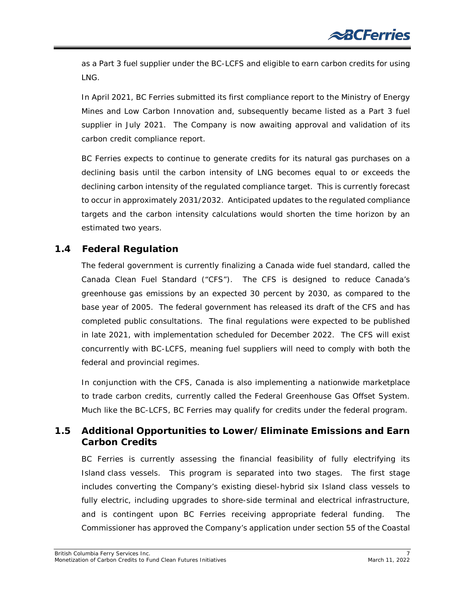as a Part 3 fuel supplier under the BC-LCFS and eligible to earn carbon credits for using LNG.

In April 2021, BC Ferries submitted its first compliance report to the Ministry of Energy Mines and Low Carbon Innovation and, subsequently became listed as a Part 3 fuel supplier in July 2021. The Company is now awaiting approval and validation of its carbon credit compliance report.

BC Ferries expects to continue to generate credits for its natural gas purchases on a declining basis until the carbon intensity of LNG becomes equal to or exceeds the declining carbon intensity of the regulated compliance target. This is currently forecast to occur in approximately 2031/2032. Anticipated updates to the regulated compliance targets and the carbon intensity calculations would shorten the time horizon by an estimated two years.

#### <span id="page-7-0"></span>**1.4 Federal Regulation**

The federal government is currently finalizing a Canada wide fuel standard, called the Canada Clean Fuel Standard ("CFS"). The CFS is designed to reduce Canada's greenhouse gas emissions by an expected 30 percent by 2030, as compared to the base year of 2005. The federal government has released its draft of the CFS and has completed public consultations. The final regulations were expected to be published in late 2021, with implementation scheduled for December 2022. The CFS will exist concurrently with BC-LCFS, meaning fuel suppliers will need to comply with both the federal and provincial regimes.

In conjunction with the CFS, Canada is also implementing a nationwide marketplace to trade carbon credits, currently called the Federal Greenhouse Gas Offset System. Much like the BC-LCFS, BC Ferries may qualify for credits under the federal program.

#### <span id="page-7-1"></span>**1.5 Additional Opportunities to Lower/Eliminate Emissions and Earn Carbon Credits**

BC Ferries is currently assessing the financial feasibility of fully electrifying its Island class vessels. This program is separated into two stages. The first stage includes converting the Company's existing diesel-hybrid six Island class vessels to fully electric, including upgrades to shore-side terminal and electrical infrastructure, and is contingent upon BC Ferries receiving appropriate federal funding. The Commissioner has approved the Company's application under section 55 of the *Coastal*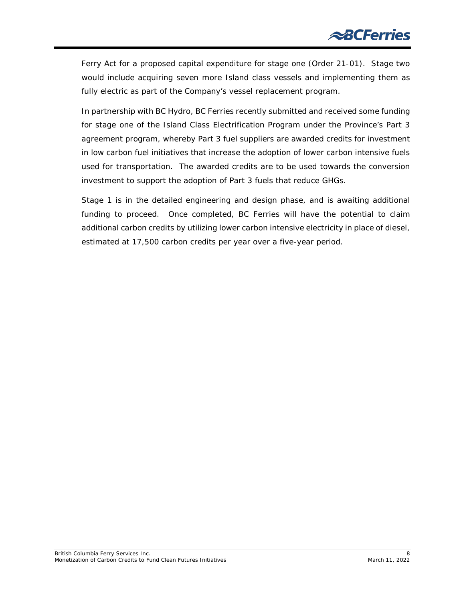*Ferry Act* for a proposed capital expenditure for stage one (Order 21-01). Stage two would include acquiring seven more Island class vessels and implementing them as fully electric as part of the Company's vessel replacement program.

In partnership with BC Hydro, BC Ferries recently submitted and received some funding for stage one of the Island Class Electrification Program under the Province's Part 3 agreement program, whereby Part 3 fuel suppliers are awarded credits for investment in low carbon fuel initiatives that increase the adoption of lower carbon intensive fuels used for transportation. The awarded credits are to be used towards the conversion investment to support the adoption of Part 3 fuels that reduce GHGs.

Stage 1 is in the detailed engineering and design phase, and is awaiting additional funding to proceed. Once completed, BC Ferries will have the potential to claim additional carbon credits by utilizing lower carbon intensive electricity in place of diesel, estimated at 17,500 carbon credits per year over a five-year period.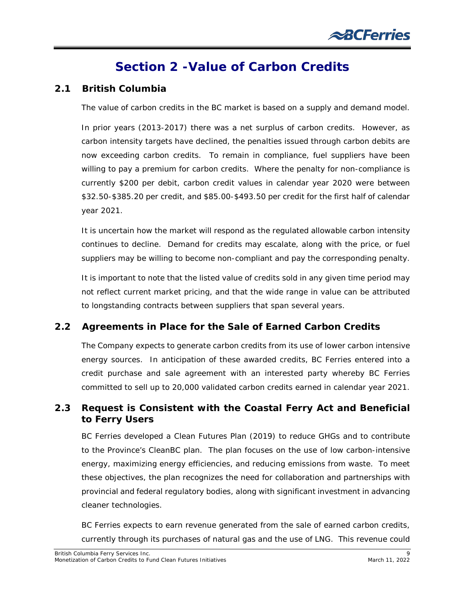# **Section 2 -Value of Carbon Credits**

#### <span id="page-9-1"></span><span id="page-9-0"></span>**2.1 British Columbia**

The value of carbon credits in the BC market is based on a supply and demand model.

In prior years (2013-2017) there was a net surplus of carbon credits. However, as carbon intensity targets have declined, the penalties issued through carbon debits are now exceeding carbon credits. To remain in compliance, fuel suppliers have been willing to pay a premium for carbon credits. Where the penalty for non-compliance is currently \$200 per debit, carbon credit values in calendar year 2020 were between \$32.50-\$385.20 per credit, and \$85.00-\$493.50 per credit for the first half of calendar year 2021.

It is uncertain how the market will respond as the regulated allowable carbon intensity continues to decline. Demand for credits may escalate, along with the price, or fuel suppliers may be willing to become non-compliant and pay the corresponding penalty.

It is important to note that the listed value of credits sold in any given time period may not reflect current market pricing, and that the wide range in value can be attributed to longstanding contracts between suppliers that span several years.

#### <span id="page-9-2"></span>**2.2 Agreements in Place for the Sale of Earned Carbon Credits**

The Company expects to generate carbon credits from its use of lower carbon intensive energy sources. In anticipation of these awarded credits, BC Ferries entered into a credit purchase and sale agreement with an interested party whereby BC Ferries committed to sell up to 20,000 validated carbon credits earned in calendar year 2021.

#### <span id="page-9-3"></span>**2.3 Request is Consistent with the** *Coastal Ferry Act* **and Beneficial to Ferry Users**

BC Ferries developed a Clean Futures Plan (2019) to reduce GHGs and to contribute to the Province's CleanBC plan. The plan focuses on the use of low carbon-intensive energy, maximizing energy efficiencies, and reducing emissions from waste. To meet these objectives, the plan recognizes the need for collaboration and partnerships with provincial and federal regulatory bodies, along with significant investment in advancing cleaner technologies.

BC Ferries expects to earn revenue generated from the sale of earned carbon credits, currently through its purchases of natural gas and the use of LNG. This revenue could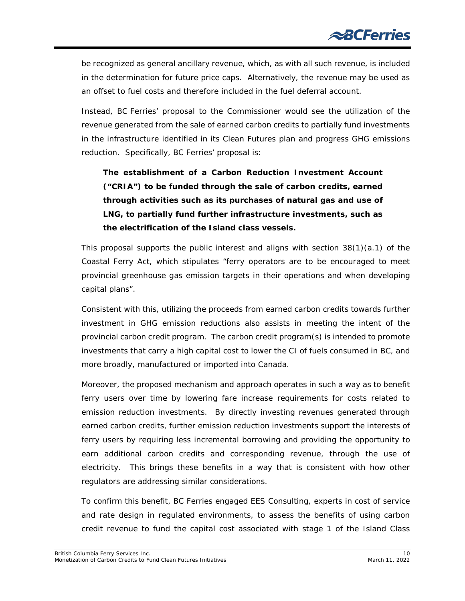be recognized as general ancillary revenue, which, as with all such revenue, is included in the determination for future price caps. Alternatively, the revenue may be used as an offset to fuel costs and therefore included in the fuel deferral account.

Instead, BC Ferries' proposal to the Commissioner would see the utilization of the revenue generated from the sale of earned carbon credits to partially fund investments in the infrastructure identified in its Clean Futures plan and progress GHG emissions reduction. Specifically, BC Ferries' proposal is:

### *The establishment of a Carbon Reduction Investment Account ("CRIA") to be funded through the sale of carbon credits, earned through activities such as its purchases of natural gas and use of LNG, to partially fund further infrastructure investments, such as the electrification of the Island class vessels.*

This proposal supports the public interest and aligns with section  $38(1)(a.1)$  of the *Coastal Ferry Act*, which stipulates "ferry operators are to be encouraged to meet provincial greenhouse gas emission targets in their operations and when developing capital plans".

Consistent with this, utilizing the proceeds from earned carbon credits towards further investment in GHG emission reductions also assists in meeting the intent of the provincial carbon credit program. The carbon credit program(s) is intended to promote investments that carry a high capital cost to lower the CI of fuels consumed in BC, and more broadly, manufactured or imported into Canada.

Moreover, the proposed mechanism and approach operates in such a way as to benefit ferry users over time by lowering fare increase requirements for costs related to emission reduction investments. By directly investing revenues generated through earned carbon credits, further emission reduction investments support the interests of ferry users by requiring less incremental borrowing and providing the opportunity to earn additional carbon credits and corresponding revenue, through the use of electricity. This brings these benefits in a way that is consistent with how other regulators are addressing similar considerations.

To confirm this benefit, BC Ferries engaged EES Consulting, experts in cost of service and rate design in regulated environments, to assess the benefits of using carbon credit revenue to fund the capital cost associated with stage 1 of the Island Class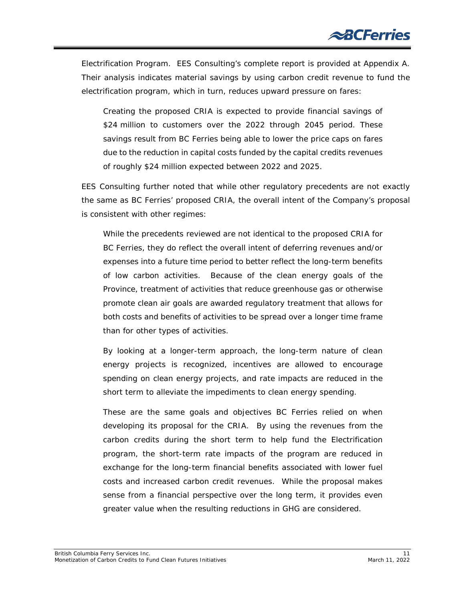Electrification Program. EES Consulting's complete report is provided at Appendix A. Their analysis indicates material savings by using carbon credit revenue to fund the electrification program, which in turn, reduces upward pressure on fares:

*Creating the proposed CRIA is expected to provide financial savings of \$24 million to customers over the 2022 through 2045 period. These savings result from BC Ferries being able to lower the price caps on fares due to the reduction in capital costs funded by the capital credits revenues of roughly \$24 million expected between 2022 and 2025.*

EES Consulting further noted that while other regulatory precedents are not exactly the same as BC Ferries' proposed CRIA, the overall intent of the Company's proposal is consistent with other regimes:

*While the precedents reviewed are not identical to the proposed CRIA for BC Ferries, they do reflect the overall intent of deferring revenues and/or expenses into a future time period to better reflect the long-term benefits of low carbon activities. Because of the clean energy goals of the Province, treatment of activities that reduce greenhouse gas or otherwise promote clean air goals are awarded regulatory treatment that allows for both costs and benefits of activities to be spread over a longer time frame than for other types of activities.* 

*By looking at a longer-term approach, the long-term nature of clean energy projects is recognized, incentives are allowed to encourage spending on clean energy projects, and rate impacts are reduced in the short term to alleviate the impediments to clean energy spending.* 

*These are the same goals and objectives BC Ferries relied on when developing its proposal for the CRIA. By using the revenues from the carbon credits during the short term to help fund the Electrification program, the short-term rate impacts of the program are reduced in*  exchange for the long-term financial benefits associated with lower fuel *costs and increased carbon credit revenues. While the proposal makes sense from a financial perspective over the long term, it provides even greater value when the resulting reductions in GHG are considered.*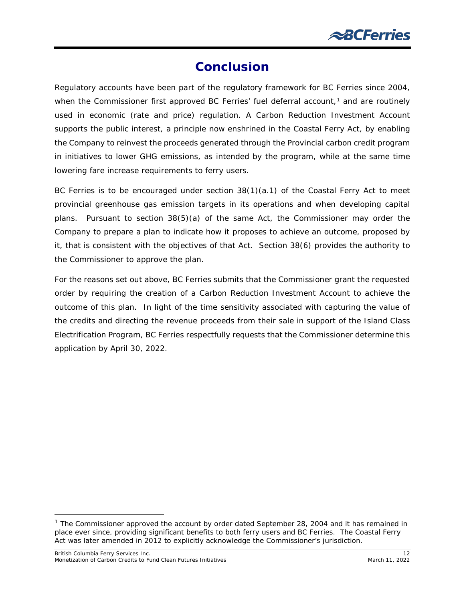### **Conclusion**

<span id="page-12-0"></span>Regulatory accounts have been part of the regulatory framework for BC Ferries since 2004, when the Commissioner first approved BC Ferries' fuel deferral account, $1$  and are routinely used in economic (rate and price) regulation. A Carbon Reduction Investment Account supports the public interest, a principle now enshrined in the *Coastal Ferry Act*, by enabling the Company to reinvest the proceeds generated through the Provincial carbon credit program in initiatives to lower GHG emissions, as intended by the program, while at the same time lowering fare increase requirements to ferry users.

BC Ferries is to be encouraged under section 38(1)(a.1) of the *Coastal Ferry Act* to meet provincial greenhouse gas emission targets in its operations and when developing capital plans. Pursuant to section 38(5)(a) of the same Act, the Commissioner may order the Company to prepare a plan to indicate how it proposes to achieve an outcome, proposed by it, that is consistent with the objectives of that Act. Section 38(6) provides the authority to the Commissioner to approve the plan.

For the reasons set out above, BC Ferries submits that the Commissioner grant the requested order by requiring the creation of a Carbon Reduction Investment Account to achieve the outcome of this plan. In light of the time sensitivity associated with capturing the value of the credits and directing the revenue proceeds from their sale in support of the Island Class Electrification Program, BC Ferries respectfully requests that the Commissioner determine this application by April 30, 2022.

<span id="page-12-1"></span><sup>&</sup>lt;sup>1</sup> The Commissioner approved the account by order dated September 28, 2004 and it has remained in place ever since, providing significant benefits to both ferry users and BC Ferries. The *Coastal Ferry Act* was later amended in 2012 to explicitly acknowledge the Commissioner's jurisdiction.